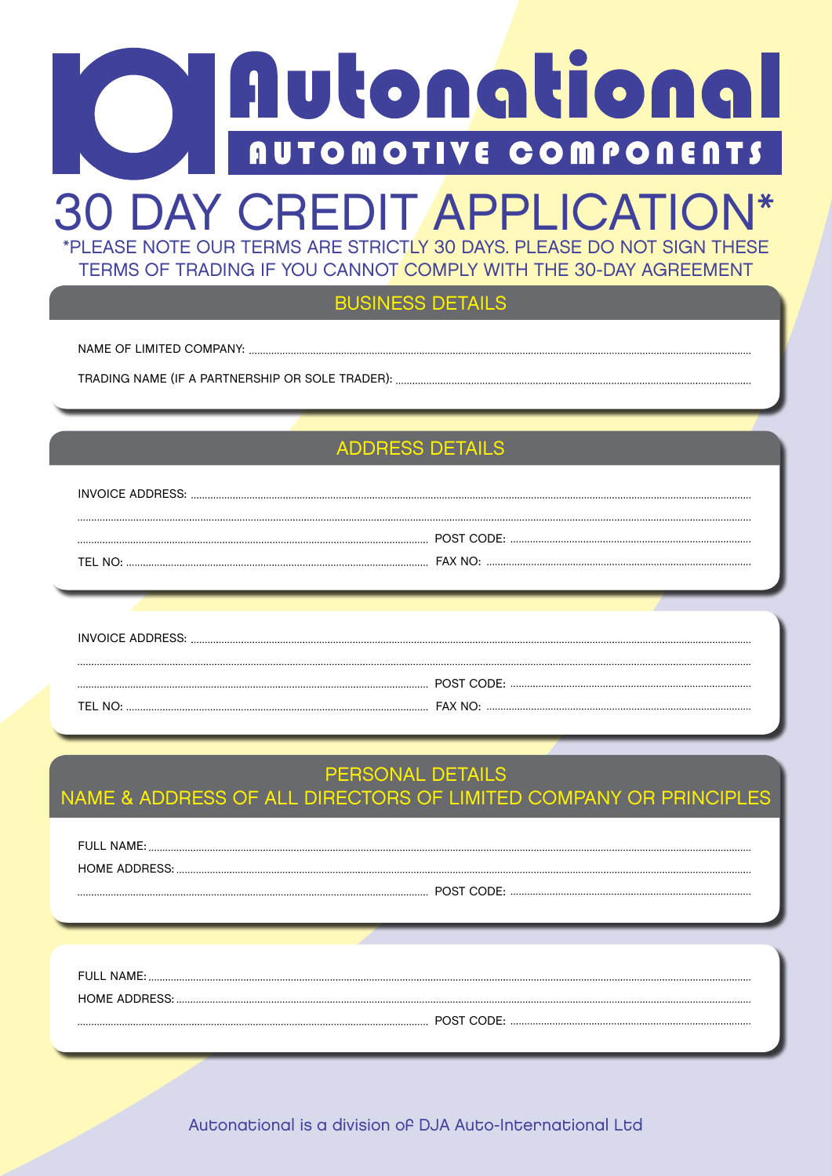# Autonational **AUTOMOTIVE COMPONENTS**

# \*PLEASE NOTE OUR TERMS ARE STRICTLY 30 DAYS. PLEASE DO NOT SIGN THESE 30 DAY CREDIT APPLICATION\*

TERMS OF TRADING IF YOU CANNOT COMPLY WITH THE 30-DAY AGREEMENT

BUSINESS DETAILS

NAME OF LIMITED COMPANY:

TRADING NAME (IF A PARTNERSHIP OR SOLE TRADER):

# ADDRESS DETAILS

| TEI NO |  |
|--------|--|

| TEI NO <sub>'</sub> |  |
|---------------------|--|

## PERSONAL DETAILS

NAME & ADDRESS OF ALL DIRECTORS OF LIMITED COMPANY OR PRINCIPLES

| FULL NAME: |
|------------|
|            |
| POST CODE: |

| FULL NAME:    |
|---------------|
| HOME ADDRESS. |
|               |

Autonational is a division of DJA Auto-International Ltd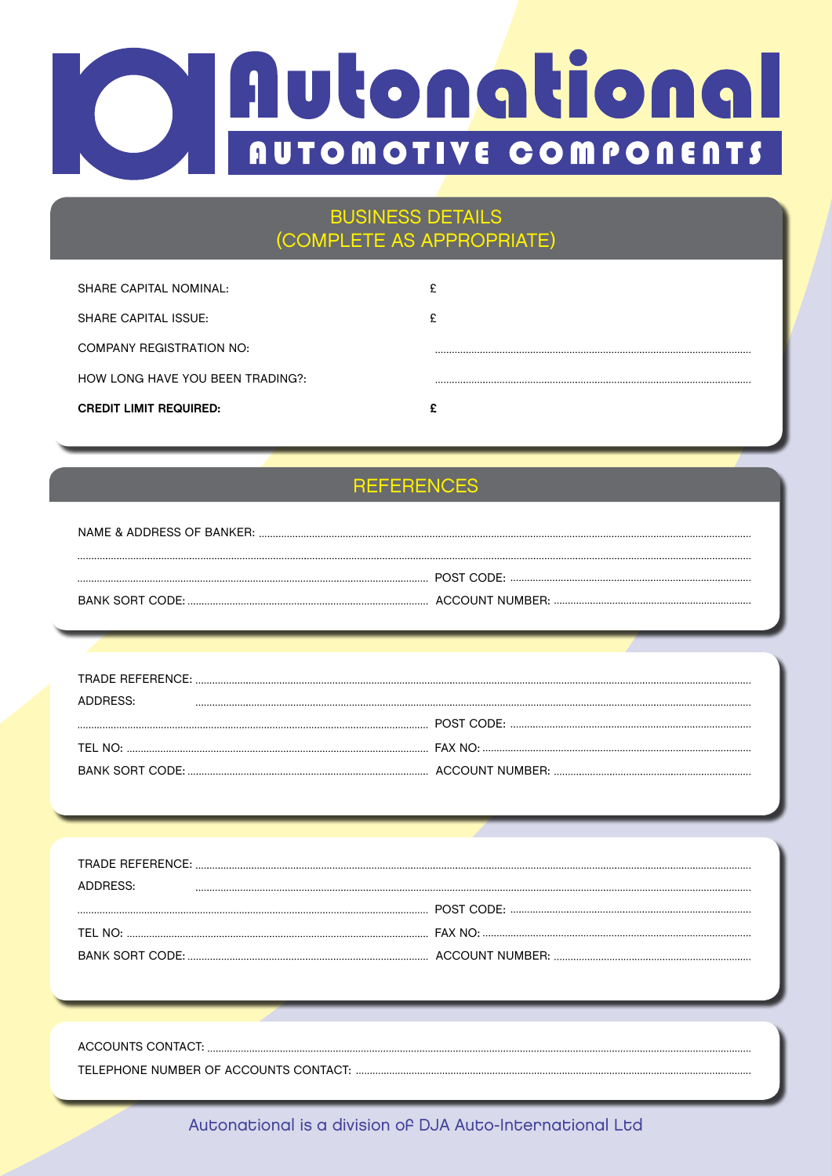# Autonational **AUTOMOTIVE COMPONENTS**

## BUSINESS DETAILS (COMPLETE AS APPROPRIATE)

| <b>CREDIT LIMIT REQUIRED:</b>    | ~ |
|----------------------------------|---|
| HOW LONG HAVE YOU BEEN TRADING?: |   |
| COMPANY REGISTRATION NO:         |   |
| SHARE CAPITAL ISSUE:             | c |
| SHARE CAPITAL NOMINAL:           | ₽ |
|                                  |   |

# **REFERENCES**

| NAME & ADDRESS OF BANKER: |  |
|---------------------------|--|
|                           |  |
|                           |  |
|                           |  |

| ADDRESS: |  |
|----------|--|
|          |  |
|          |  |
|          |  |

| ADDRESS. |  |
|----------|--|
|          |  |
|          |  |
|          |  |
|          |  |

| ACCOUNTS CONTACT: |
|-------------------|
|                   |

Autonational is a division of DJA Auto-International Ltd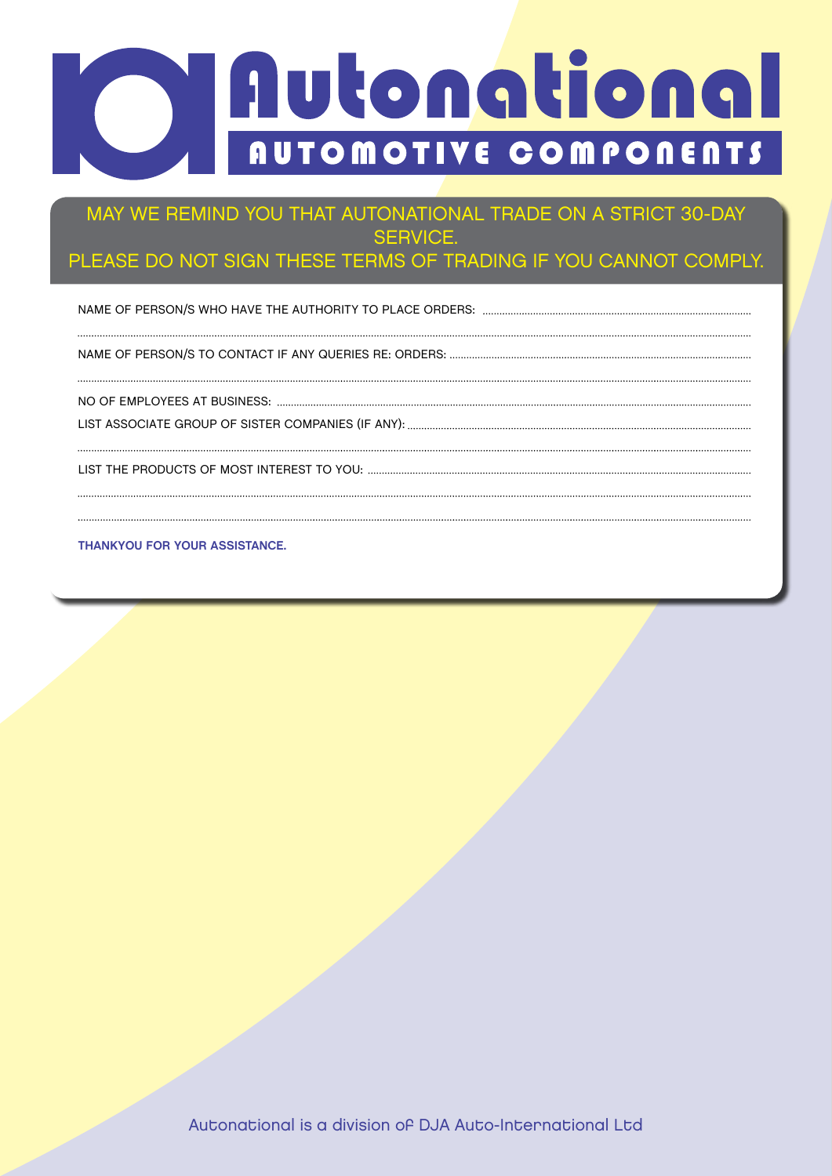# **30 Day Credit Application**

#### MAY WE REMIND YOU THAT AUTONATIONAL TRADE ON A STRICT 30-DAY SERVICE.

### PLEASE DO NOT SIGN THESE TERMS OF TRADING IF YOU CANNOT COMPLY.

NAME OF PERSON/S WHO HAVE THE AUTHORITY TO PLACE ORDERS: 

NAME OF PERSON/S TO CONTACT IF ANY QUERIES RE: ORDERS:

LIST ASSOCIATE GROUP OF SISTER COMPANIES (IF ANY): NO OF EMPLOYEES AT BUSINESS:

LIST THE PRODUCTS OF MOST INTEREST TO YOU:

**THANKYOU FOR YOUR ASSISTANCE.**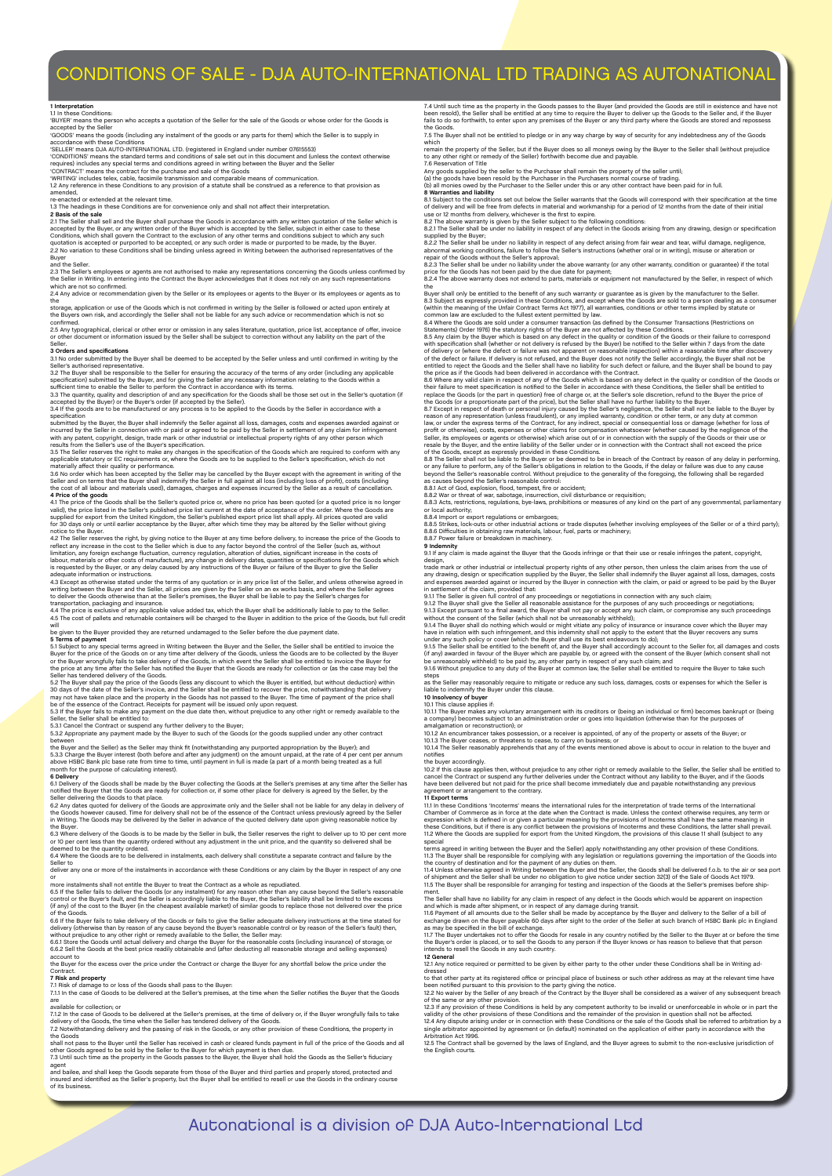#### CONDITIONS OF SALE - DJA AUTO-INTERNATIONAL LTD TRADING AS AUTONATIONAL

1 Interpretation<br>1.1 In these Conditions:<br>accepted by the Seller<br>accepted by the Seller<br>"GOODS' means the goods (including any instalment of the goods or any parts for them) which the Seller is to supply in<br>"GOODS' means t

accordance with these Conditions<br>
SELLER' means DJA AUTO-INTERNATIONAL LTD. (registered in England under number 07615553)<br>
"CONDITIONS" means the standard terms and conditions of sale set out in this document and (unless t

restided,<br>re-enacted or external<br>1.3 The heading

re-enacted or extended at the relevant time.<br>13 The headings in these Conditions are for convenience only and shall not affect their interpretation.<br>2 Basis of the sale<br>2:1 The Seller shall sell and the Buyer shall purchas

2.3 The Seller's employees or agents are not authorised to make any representations concerning the Goods unless confirmed by<br>the Seller in Writing. In entering into the Contract the Buyer acknowledges that it does not rely

storage, application or use of the Goods which is not confirmed in writing by the Seller is followed or acted upon entirely at<br>the Buyers own risk, and accordingly the Seller shall not be liable for any such advice or reco

confirmed.<br>2.5 Any typographical, clerical or other error or omission in any sales literature, quotation, price list, acceptance of offer, invoice<br>or other document or information issued by the Seller shall be subject to c

**3 Orders and specifications**<br>3.1 No order submitted by the Buyer shall be deemed to be accepted by the Seller unless and until confirmed in writing by the

3.1 No order submitted by the Buyer shall be deemed to be accepted by the Seller unless and until confirmed in writing by the Seller's autonised representative.<br>Seller's autonised representative.<br>Seller's autonised represe

4.1 The price of the Goods shall be the Seller's quoted price or, where no price has been quoted (or a quoted price is no longer<br>valid), the price is tech Goods shall be the Seller's quoted price into the care provide the

to deliver the Goods otherwise than at the Seller's premises, the Buyer shall be liable to pay the Seller's charges for<br>transportation, packaging and insurance.<br>4.5 The cost of pallets and returnable containers will be cha will be given to the Buyer provided they are returned undamaged to the Seller before the due payment date.

5 Terms of payment<br>5.1 Subject to any special terms agreed in Writing between the Buyer and the Seller, the Seller shall be entitled to invoice the<br>Buyer for the price of the Goods on or any time after delivery of the Good

Seller has tendered delivery of the Goods.<br>Seller has tendered delivery of the Goods (less any discount to which the Buyer is entitled, but without deduction) within<br>30 days of the date of the Sellers invoice, and the Sell

the Buyer and the Seller) as the Seller may think fit (notwithstanding any purported appropriation by the Buyer); and<br>5.3.3 Charge the Buyer interest (both before and after any judgment) on the amount unpaid, at the rate o

6.1 Delivery of the Goods shall be made by the Buyer collecting the Goods at the Seller's premises at any time after the Seller has<br>notified the Buyer that the Goods are ready for collection or, if some other place for del

Seller delivering the Goods to that place.<br>G.2 My dates quoted for delivery of the Goods are approximate only and the Seller shall not be liable for any delay in delivery of<br>the Goods however caused. Time for delivery shal

deliver any claim on the instalments in accordance with these Conditions or any claim by the Buyer in respect o

or<br>An orientalments shall not entitle the Buyer to treat the Contract as a whole as repudiated.<br>6.5 if the Seller' fails to deliver the Goods (or any instalment) for any reason other than any cause beyond the Seller's reas

6.6 if the Buyer fails to take delivery of the Goods or fails to give the Seller adequate delivery instructions at the time stated for<br>delivery (otherwise than by reason of any cause beyond the Buyer's reasonable control o

account to the Buyer for the excess over the price under the Contract or charge the Buyer for any shortfall below the price under the

Contract.<br>7. Risk **and property**<br>7.1 Int he case of Goods to be delivered at the Seller's premises, at the time when the Seller notifies the Buyer that the Goods

are<br>available for collection; or<br>T.1.2 in the case of Goods to be delivered at the Seller's premises, at the time of delivery or, if the Buyer wrongfully fails to take<br>delivery of the Goods, the time when the Seller has te

shall not pass to the Buyer until the Seller has received in cash or cleared funds payment in full of the price of the Goods and all<br>other Goods agreed to be sold by the Seller to the Buyer for which payment is then due.<br>7

agent<br>and bailee, and shall keep the Goods separate from those of the Buyer and third parties and properly stored, protected and<br>insured and identified as the Seller's property, but the Buyer shall be entitled to resell or of its busin

7.4 Until such time as the property in the Goods passes to the Buyer (and provided the Goods are still in existence and have not<br>been resold), the Seller shall be entitled at any time to require the Buyer to deliver up the

The Buyer shall not be entitled to pledge or in any way charge by way of security for any indebtedness any of the Goods

7.5 The Buyer shall not be entitled to pledge or in any way charge by way of security for any indebtedness any of the Goods<br>which<br>thich the property of the Seller, but if the Buyer does as all moneys wing by the Buyer to t

Buyer shall only be entitled to the benefit of any such warranty or guarantee as is given by the manufacturer to the Seller. The Goods, are sold to a person dealing as a consume (within the meaning of the Unifai' Contact T

8.8 The Seller shall not be liable to the Buyer or be deemed to be in breach of the Contract by reason of any delay in performing<br>or any failure to perform, any of the Seller's obligations in relation to the Goods, if the

8.8.1 Act of God, explosion, flood, tempest, fire or accident;<br>6.8.2 War or threat of war, sabotage, insurrection, civil disturbance or requisition;<br>6.8.2 War or threat of war, sabotage, insurrection, civil disturbance or

**9 Indemnity** 9.1 If any claim is made against the Buyer that the Goods infringe or that their use or resale infringes the patent, copyright,

design,<br>The methanic methanic methanic in the effected property rights of any other person, then unless the claim arises from the use of<br>any drawing, design or specification supplied by the Buyer, the Seller shall indemnif

have in relation with such infringement, and this indemnity shall not apply to the extent that the Buyer recovers any sums<br>sunder any such policy or cover (which the Buyer shall use its best endeavours to do);<br>9.1.5 The Se

steps<br>as the Seller may reasonably require to mitigate or reduce any such loss, damages, costs or expenses for which the Seller is<br>liable to indemnify the Buyer under this clause.<br>10 Intervency of buyer<br>10 Intervency of bu

the buyer accordingly.<br>10.2 If this clause applies then, without prejudice to any other right or remedy available to the Seller, the Seller shall be entitled to<br>20.2 If this clause applies then, without prejudice is under

11 Export terms<br>11.1 In these Conditions 'Incoterms' means the international rules for the interpretation of trade terms of the International<br>Chamber of Commerce as in force at the date when the Contract is made. Unless th

special<br>terms agreed in writing between the Buyer and the Seller) apply notwithstanding any other provision of these Conditions.<br>11.3 The Buyer shall be responsible for complying with any legislation or regulations governi

ment. The Seller shall have no liability for any claim in respect of any defect in the Goods which would be apparent on inspection

and which is made after shipment, or in respect of any damage during transit.<br>11.6 Payment of all amounts due to the Seller shall be made by acceptance by the Buyer and delivery to the Seller of a bill of<br>exchange drawn on

11.7 The Buyer undertakes not to offer the Goods for resale in any country notified by the Seller to the Buyer at or before the time<br>the Buyer's order is placed, or to sell the Goods to any person if the Buyer knows or has

intends to resell the Goods in any such country.<br>1**2. General**<br>dressed<br>dressed

to that other party at its registered office or principal place of business or such other address as may at the relevant time have<br>to then notified pursuant to this provision to the party giving the notice.<br>12.2 No waiver